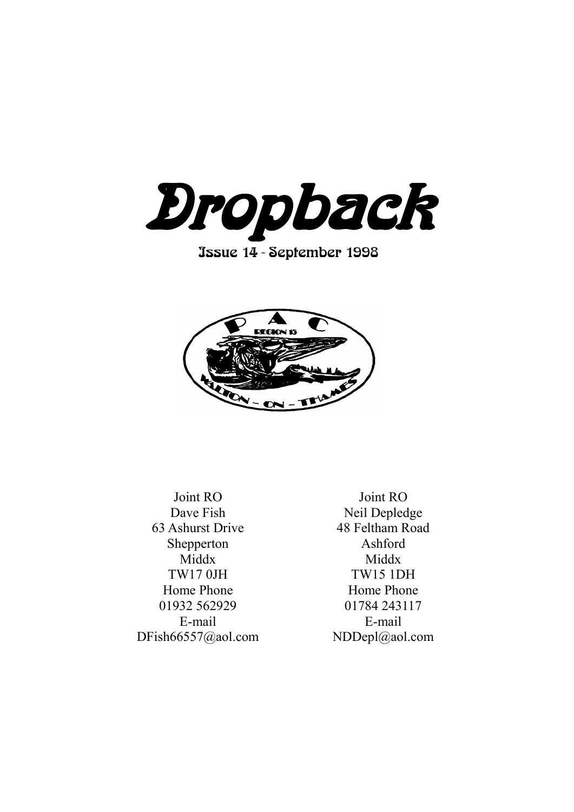

Issue 14 - September 1998



Joint RO Dave Fish 63 Ashurst Drive Shepperton Middx TW17 0JH Home Phone 01932 562929 E-mail DFish66557@aol.com

Joint RO Neil Depledge 48 Feltham Road Ashford Middx TW15 1DH Home Phone 01784 243117 E-mail NDDepl@aol.com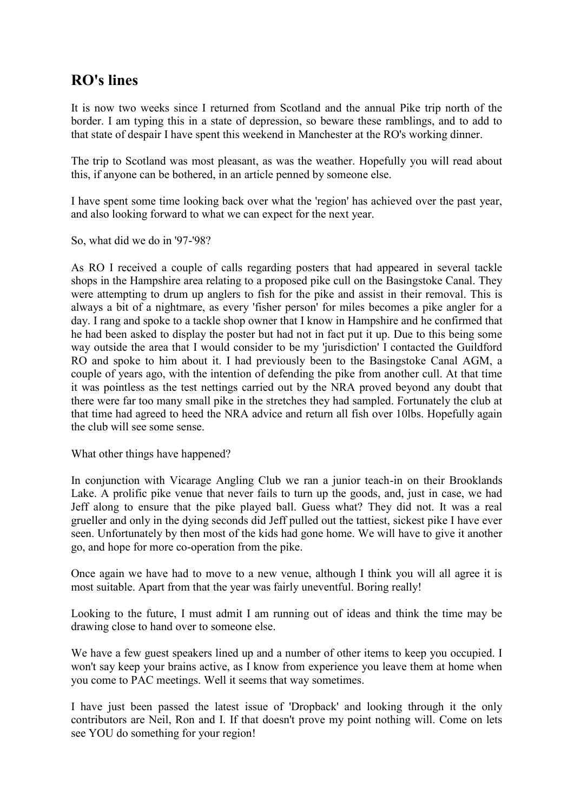# **RO's lines**

It is now two weeks since I returned from Scotland and the annual Pike trip north of the border. I am typing this in a state of depression, so beware these ramblings, and to add to that state of despair I have spent this weekend in Manchester at the RO's working dinner.

The trip to Scotland was most pleasant, as was the weather. Hopefully you will read about this, if anyone can be bothered, in an article penned by someone else.

I have spent some time looking back over what the 'region' has achieved over the past year, and also looking forward to what we can expect for the next year.

So, what did we do in '97-'98?

As RO I received a couple of calls regarding posters that had appeared in several tackle shops in the Hampshire area relating to a proposed pike cull on the Basingstoke Canal. They were attempting to drum up anglers to fish for the pike and assist in their removal. This is always a bit of a nightmare, as every 'fisher person' for miles becomes a pike angler for a day. I rang and spoke to a tackle shop owner that I know in Hampshire and he confirmed that he had been asked to display the poster but had not in fact put it up. Due to this being some way outside the area that I would consider to be my 'jurisdiction' I contacted the Guildford RO and spoke to him about it. I had previously been to the Basingstoke Canal AGM, a couple of years ago, with the intention of defending the pike from another cull. At that time it was pointless as the test nettings carried out by the NRA proved beyond any doubt that there were far too many small pike in the stretches they had sampled. Fortunately the club at that time had agreed to heed the NRA advice and return all fish over 10lbs. Hopefully again the club will see some sense.

What other things have happened?

In conjunction with Vicarage Angling Club we ran a junior teach-in on their Brooklands Lake. A prolific pike venue that never fails to turn up the goods, and, just in case, we had Jeff along to ensure that the pike played ball. Guess what? They did not. It was a real grueller and only in the dying seconds did Jeff pulled out the tattiest, sickest pike I have ever seen. Unfortunately by then most of the kids had gone home. We will have to give it another go, and hope for more co-operation from the pike.

Once again we have had to move to a new venue, although I think you will all agree it is most suitable. Apart from that the year was fairly uneventful. Boring really!

Looking to the future, I must admit I am running out of ideas and think the time may be drawing close to hand over to someone else.

We have a few guest speakers lined up and a number of other items to keep you occupied. I won't say keep your brains active, as I know from experience you leave them at home when you come to PAC meetings. Well it seems that way sometimes.

I have just been passed the latest issue of 'Dropback' and looking through it the only contributors are Neil, Ron and I. If that doesn't prove my point nothing will. Come on lets see YOU do something for your region!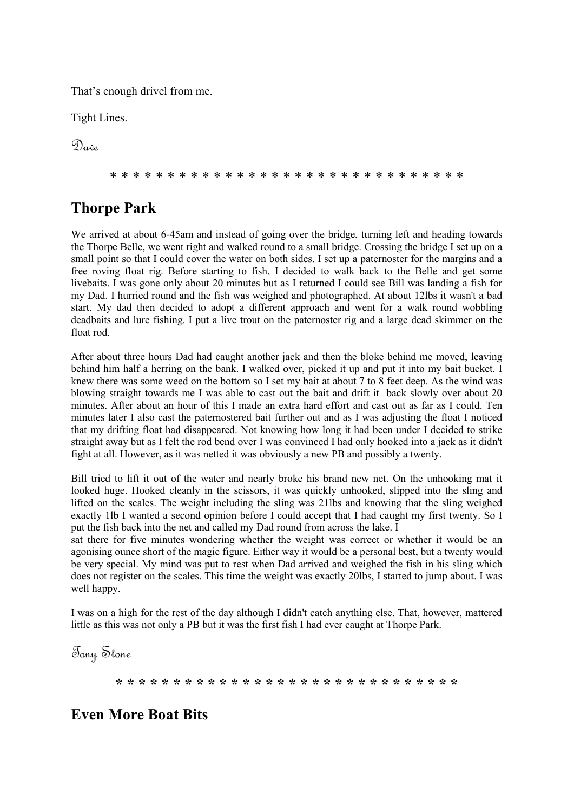That's enough drivel from me.

Tight Lines.

 $\mathcal{D}_{\mathbf{a}}$ 

\* \* \* \* \* \* \* \* \* \* \* \* \* \* \* \* \* \* \* \* \* \* \* \* \* \* \* \* \* \* \*

# **Thorpe Park**

We arrived at about 6-45am and instead of going over the bridge, turning left and heading towards the Thorpe Belle, we went right and walked round to a small bridge. Crossing the bridge I set up on a small point so that I could cover the water on both sides. I set up a paternoster for the margins and a free roving float rig. Before starting to fish, I decided to walk back to the Belle and get some livebaits. I was gone only about 20 minutes but as I returned I could see Bill was landing a fish for my Dad. I hurried round and the fish was weighed and photographed. At about 12lbs it wasn't a bad start. My dad then decided to adopt a different approach and went for a walk round wobbling deadbaits and lure fishing. I put a live trout on the paternoster rig and a large dead skimmer on the float rod.

After about three hours Dad had caught another jack and then the bloke behind me moved, leaving behind him half a herring on the bank. I walked over, picked it up and put it into my bait bucket. I knew there was some weed on the bottom so I set my bait at about 7 to 8 feet deep. As the wind was blowing straight towards me I was able to cast out the bait and drift it back slowly over about 20 minutes. After about an hour of this I made an extra hard effort and cast out as far as I could. Ten minutes later I also cast the paternostered bait further out and as I was adjusting the float I noticed that my drifting float had disappeared. Not knowing how long it had been under I decided to strike straight away but as I felt the rod bend over I was convinced I had only hooked into a jack as it didn't fight at all. However, as it was netted it was obviously a new PB and possibly a twenty.

Bill tried to lift it out of the water and nearly broke his brand new net. On the unhooking mat it looked huge. Hooked cleanly in the scissors, it was quickly unhooked, slipped into the sling and lifted on the scales. The weight including the sling was 21lbs and knowing that the sling weighed exactly 1lb I wanted a second opinion before I could accept that I had caught my first twenty. So I put the fish back into the net and called my Dad round from across the lake. I

sat there for five minutes wondering whether the weight was correct or whether it would be an agonising ounce short of the magic figure. Either way it would be a personal best, but a twenty would be very special. My mind was put to rest when Dad arrived and weighed the fish in his sling which does not register on the scales. This time the weight was exactly 20lbs, I started to jump about. I was well happy.

I was on a high for the rest of the day although I didn't catch anything else. That, however, mattered little as this was not only a PB but it was the first fish I had ever caught at Thorpe Park.

Tony Stone

**\* \* \* \* \* \* \* \* \* \* \* \* \* \* \* \* \* \* \* \* \* \* \* \* \* \* \* \* \* \***

# **Even More Boat Bits**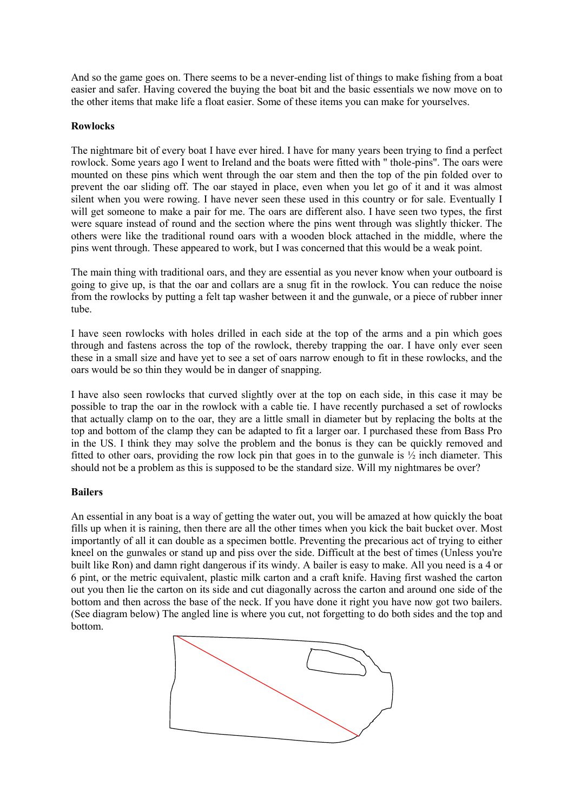And so the game goes on. There seems to be a never-ending list of things to make fishing from a boat easier and safer. Having covered the buying the boat bit and the basic essentials we now move on to the other items that make life a float easier. Some of these items you can make for yourselves.

#### **Rowlocks**

The nightmare bit of every boat I have ever hired. I have for many years been trying to find a perfect rowlock. Some years ago I went to Ireland and the boats were fitted with " thole-pins". The oars were mounted on these pins which went through the oar stem and then the top of the pin folded over to prevent the oar sliding off. The oar stayed in place, even when you let go of it and it was almost silent when you were rowing. I have never seen these used in this country or for sale. Eventually I will get someone to make a pair for me. The oars are different also. I have seen two types, the first were square instead of round and the section where the pins went through was slightly thicker. The others were like the traditional round oars with a wooden block attached in the middle, where the pins went through. These appeared to work, but I was concerned that this would be a weak point.

The main thing with traditional oars, and they are essential as you never know when your outboard is going to give up, is that the oar and collars are a snug fit in the rowlock. You can reduce the noise from the rowlocks by putting a felt tap washer between it and the gunwale, or a piece of rubber inner tube.

I have seen rowlocks with holes drilled in each side at the top of the arms and a pin which goes through and fastens across the top of the rowlock, thereby trapping the oar. I have only ever seen these in a small size and have yet to see a set of oars narrow enough to fit in these rowlocks, and the oars would be so thin they would be in danger of snapping.

I have also seen rowlocks that curved slightly over at the top on each side, in this case it may be possible to trap the oar in the rowlock with a cable tie. I have recently purchased a set of rowlocks that actually clamp on to the oar, they are a little small in diameter but by replacing the bolts at the top and bottom of the clamp they can be adapted to fit a larger oar. I purchased these from Bass Pro in the US. I think they may solve the problem and the bonus is they can be quickly removed and fitted to other oars, providing the row lock pin that goes in to the gunwale is  $\frac{1}{2}$  inch diameter. This should not be a problem as this is supposed to be the standard size. Will my nightmares be over?

#### **Bailers**

An essential in any boat is a way of getting the water out, you will be amazed at how quickly the boat fills up when it is raining, then there are all the other times when you kick the bait bucket over. Most importantly of all it can double as a specimen bottle. Preventing the precarious act of trying to either kneel on the gunwales or stand up and piss over the side. Difficult at the best of times (Unless you're built like Ron) and damn right dangerous if its windy. A bailer is easy to make. All you need is a 4 or 6 pint, or the metric equivalent, plastic milk carton and a craft knife. Having first washed the carton out you then lie the carton on its side and cut diagonally across the carton and around one side of the bottom and then across the base of the neck. If you have done it right you have now got two bailers. (See diagram below) The angled line is where you cut, not forgetting to do both sides and the top and bottom.

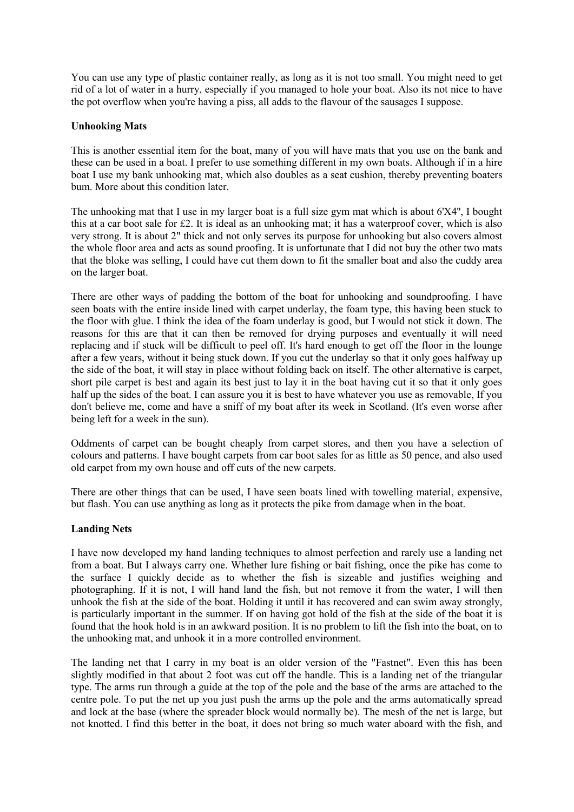You can use any type of plastic container really, as long as it is not too small. You might need to get rid of a lot of water in a hurry, especially if you managed to hole your boat. Also its not nice to have the pot overflow when you're having a piss, all adds to the flavour of the sausages I suppose.

#### **Unhooking Mats**

This is another essential item for the boat, many of you will have mats that you use on the bank and these can be used in a boat. I prefer to use something different in my own boats. Although if in a hire boat I use my bank unhooking mat, which also doubles as a seat cushion, thereby preventing boaters bum. More about this condition later.

The unhooking mat that I use in my larger boat is a full size gym mat which is about 6'X4'', I bought this at a car boot sale for £2. It is ideal as an unhooking mat; it has a waterproof cover, which is also very strong. It is about 2" thick and not only serves its purpose for unhooking but also covers almost the whole floor area and acts as sound proofing. It is unfortunate that I did not buy the other two mats that the bloke was selling, I could have cut them down to fit the smaller boat and also the cuddy area on the larger boat.

There are other ways of padding the bottom of the boat for unhooking and soundproofing. I have seen boats with the entire inside lined with carpet underlay, the foam type, this having been stuck to the floor with glue. I think the idea of the foam underlay is good, but I would not stick it down. The reasons for this are that it can then be removed for drying purposes and eventually it will need replacing and if stuck will be difficult to peel off. It's hard enough to get off the floor in the lounge after a few years, without it being stuck down. If you cut the underlay so that it only goes halfway up the side of the boat, it will stay in place without folding back on itself. The other alternative is carpet, short pile carpet is best and again its best just to lay it in the boat having cut it so that it only goes half up the sides of the boat. I can assure you it is best to have whatever you use as removable, If you don't believe me, come and have a sniff of my boat after its week in Scotland. (It's even worse after being left for a week in the sun).

Oddments of carpet can be bought cheaply from carpet stores, and then you have a selection of colours and patterns. I have bought carpets from car boot sales for as little as 50 pence, and also used old carpet from my own house and off cuts of the new carpets.

There are other things that can be used, I have seen boats lined with towelling material, expensive, but flash. You can use anything as long as it protects the pike from damage when in the boat.

#### **Landing Nets**

I have now developed my hand landing techniques to almost perfection and rarely use a landing net from a boat. But I always carry one. Whether lure fishing or bait fishing, once the pike has come to the surface I quickly decide as to whether the fish is sizeable and justifies weighing and photographing. If it is not, I will hand land the fish, but not remove it from the water, I will then unhook the fish at the side of the boat. Holding it until it has recovered and can swim away strongly, is particularly important in the summer. If on having got hold of the fish at the side of the boat it is found that the hook hold is in an awkward position. It is no problem to lift the fish into the boat, on to the unhooking mat, and unhook it in a more controlled environment.

The landing net that I carry in my boat is an older version of the "Fastnet". Even this has been slightly modified in that about 2 foot was cut off the handle. This is a landing net of the triangular type. The arms run through a guide at the top of the pole and the base of the arms are attached to the centre pole. To put the net up you just push the arms up the pole and the arms automatically spread and lock at the base (where the spreader block would normally be). The mesh of the net is large, but not knotted. I find this better in the boat, it does not bring so much water aboard with the fish, and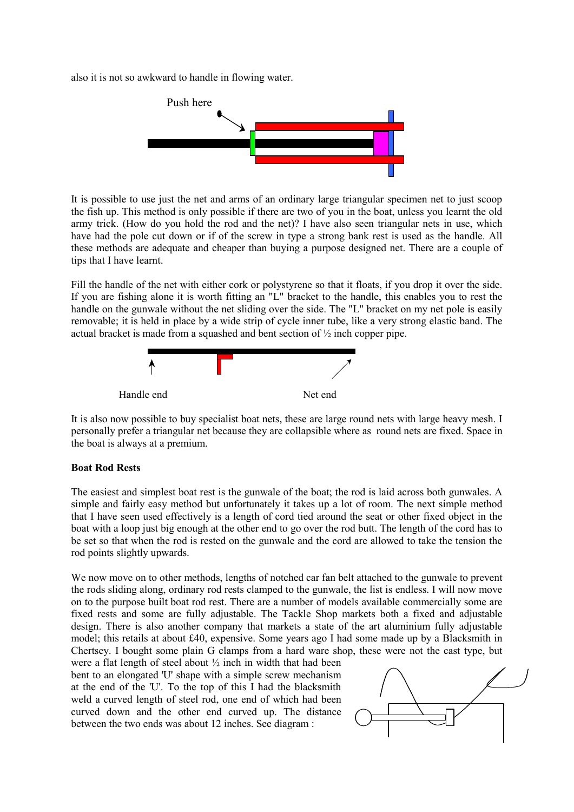also it is not so awkward to handle in flowing water.



It is possible to use just the net and arms of an ordinary large triangular specimen net to just scoop the fish up. This method is only possible if there are two of you in the boat, unless you learnt the old army trick. (How do you hold the rod and the net)? I have also seen triangular nets in use, which have had the pole cut down or if of the screw in type a strong bank rest is used as the handle. All these methods are adequate and cheaper than buying a purpose designed net. There are a couple of tips that I have learnt.

Fill the handle of the net with either cork or polystyrene so that it floats, if you drop it over the side. If you are fishing alone it is worth fitting an "L" bracket to the handle, this enables you to rest the handle on the gunwale without the net sliding over the side. The "L" bracket on my net pole is easily removable; it is held in place by a wide strip of cycle inner tube, like a very strong elastic band. The actual bracket is made from a squashed and bent section of ½ inch copper pipe.



It is also now possible to buy specialist boat nets, these are large round nets with large heavy mesh. I personally prefer a triangular net because they are collapsible where as round nets are fixed. Space in the boat is always at a premium.

#### **Boat Rod Rests**

The easiest and simplest boat rest is the gunwale of the boat; the rod is laid across both gunwales. A simple and fairly easy method but unfortunately it takes up a lot of room. The next simple method that I have seen used effectively is a length of cord tied around the seat or other fixed object in the boat with a loop just big enough at the other end to go over the rod butt. The length of the cord has to be set so that when the rod is rested on the gunwale and the cord are allowed to take the tension the rod points slightly upwards.

We now move on to other methods, lengths of notched car fan belt attached to the gunwale to prevent the rods sliding along, ordinary rod rests clamped to the gunwale, the list is endless. I will now move on to the purpose built boat rod rest. There are a number of models available commercially some are fixed rests and some are fully adjustable. The Tackle Shop markets both a fixed and adjustable design. There is also another company that markets a state of the art aluminium fully adjustable model; this retails at about £40, expensive. Some years ago I had some made up by a Blacksmith in Chertsey. I bought some plain G clamps from a hard ware shop, these were not the cast type, but

were a flat length of steel about ½ inch in width that had been bent to an elongated 'U' shape with a simple screw mechanism at the end of the 'U'. To the top of this I had the blacksmith weld a curved length of steel rod, one end of which had been curved down and the other end curved up. The distance between the two ends was about 12 inches. See diagram :

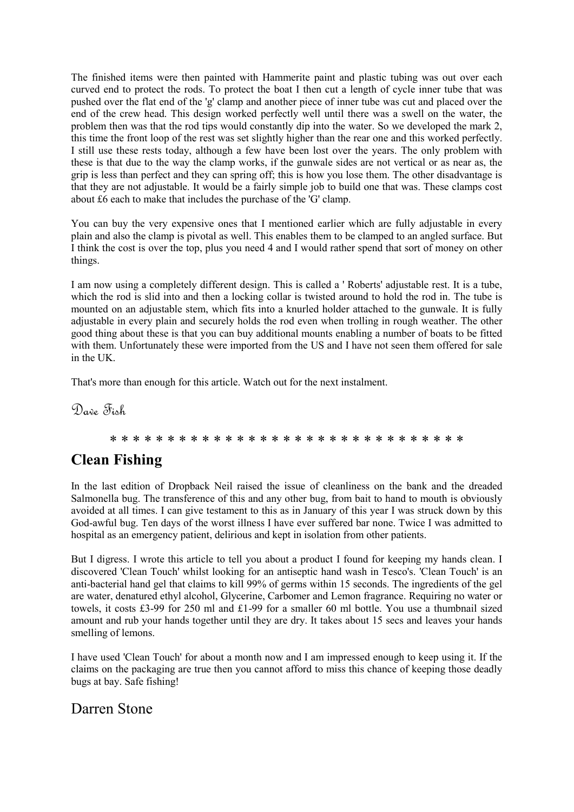The finished items were then painted with Hammerite paint and plastic tubing was out over each curved end to protect the rods. To protect the boat I then cut a length of cycle inner tube that was pushed over the flat end of the 'g' clamp and another piece of inner tube was cut and placed over the end of the crew head. This design worked perfectly well until there was a swell on the water, the problem then was that the rod tips would constantly dip into the water. So we developed the mark 2, this time the front loop of the rest was set slightly higher than the rear one and this worked perfectly. I still use these rests today, although a few have been lost over the years. The only problem with these is that due to the way the clamp works, if the gunwale sides are not vertical or as near as, the grip is less than perfect and they can spring off; this is how you lose them. The other disadvantage is that they are not adjustable. It would be a fairly simple job to build one that was. These clamps cost about £6 each to make that includes the purchase of the 'G' clamp.

You can buy the very expensive ones that I mentioned earlier which are fully adjustable in every plain and also the clamp is pivotal as well. This enables them to be clamped to an angled surface. But I think the cost is over the top, plus you need 4 and I would rather spend that sort of money on other things.

I am now using a completely different design. This is called a ' Roberts' adjustable rest. It is a tube, which the rod is slid into and then a locking collar is twisted around to hold the rod in. The tube is mounted on an adjustable stem, which fits into a knurled holder attached to the gunwale. It is fully adjustable in every plain and securely holds the rod even when trolling in rough weather. The other good thing about these is that you can buy additional mounts enabling a number of boats to be fitted with them. Unfortunately these were imported from the US and I have not seen them offered for sale in the UK.

That's more than enough for this article. Watch out for the next instalment.

Dave Fish

#### \* \* \* \* \* \* \* \* \* \* \* \* \* \* \* \* \* \* \* \* \* \* \* \* \* \* \* \* \* \* \*

### **Clean Fishing**

In the last edition of Dropback Neil raised the issue of cleanliness on the bank and the dreaded Salmonella bug. The transference of this and any other bug, from bait to hand to mouth is obviously avoided at all times. I can give testament to this as in January of this year I was struck down by this God-awful bug. Ten days of the worst illness I have ever suffered bar none. Twice I was admitted to hospital as an emergency patient, delirious and kept in isolation from other patients.

But I digress. I wrote this article to tell you about a product I found for keeping my hands clean. I discovered 'Clean Touch' whilst looking for an antiseptic hand wash in Tesco's. 'Clean Touch' is an anti-bacterial hand gel that claims to kill 99% of germs within 15 seconds. The ingredients of the gel are water, denatured ethyl alcohol, Glycerine, Carbomer and Lemon fragrance. Requiring no water or towels, it costs £3-99 for 250 ml and £1-99 for a smaller 60 ml bottle. You use a thumbnail sized amount and rub your hands together until they are dry. It takes about 15 secs and leaves your hands smelling of lemons.

I have used 'Clean Touch' for about a month now and I am impressed enough to keep using it. If the claims on the packaging are true then you cannot afford to miss this chance of keeping those deadly bugs at bay. Safe fishing!

### Darren Stone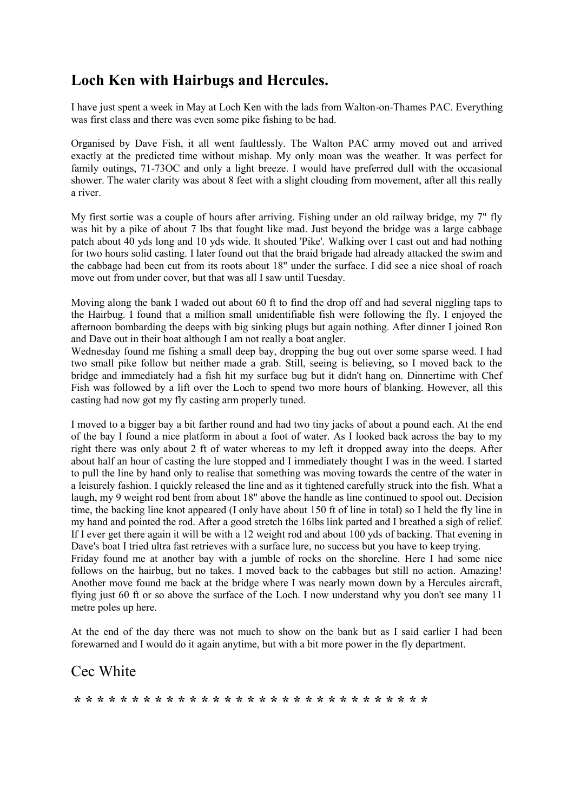### **Loch Ken with Hairbugs and Hercules.**

I have just spent a week in May at Loch Ken with the lads from Walton-on-Thames PAC. Everything was first class and there was even some pike fishing to be had.

Organised by Dave Fish, it all went faultlessly. The Walton PAC army moved out and arrived exactly at the predicted time without mishap. My only moan was the weather. It was perfect for family outings, 71-73OC and only a light breeze. I would have preferred dull with the occasional shower. The water clarity was about 8 feet with a slight clouding from movement, after all this really a river.

My first sortie was a couple of hours after arriving. Fishing under an old railway bridge, my 7" fly was hit by a pike of about 7 lbs that fought like mad. Just beyond the bridge was a large cabbage patch about 40 yds long and 10 yds wide. It shouted 'Pike'. Walking over I cast out and had nothing for two hours solid casting. I later found out that the braid brigade had already attacked the swim and the cabbage had been cut from its roots about 18" under the surface. I did see a nice shoal of roach move out from under cover, but that was all I saw until Tuesday.

Moving along the bank I waded out about 60 ft to find the drop off and had several niggling taps to the Hairbug. I found that a million small unidentifiable fish were following the fly. I enjoyed the afternoon bombarding the deeps with big sinking plugs but again nothing. After dinner I joined Ron and Dave out in their boat although I am not really a boat angler.

Wednesday found me fishing a small deep bay, dropping the bug out over some sparse weed. I had two small pike follow but neither made a grab. Still, seeing is believing, so I moved back to the bridge and immediately had a fish hit my surface bug but it didn't hang on. Dinnertime with Chef Fish was followed by a lift over the Loch to spend two more hours of blanking. However, all this casting had now got my fly casting arm properly tuned.

I moved to a bigger bay a bit farther round and had two tiny jacks of about a pound each. At the end of the bay I found a nice platform in about a foot of water. As I looked back across the bay to my right there was only about 2 ft of water whereas to my left it dropped away into the deeps. After about half an hour of casting the lure stopped and I immediately thought I was in the weed. I started to pull the line by hand only to realise that something was moving towards the centre of the water in a leisurely fashion. I quickly released the line and as it tightened carefully struck into the fish. What a laugh, my 9 weight rod bent from about 18" above the handle as line continued to spool out. Decision time, the backing line knot appeared (I only have about 150 ft of line in total) so I held the fly line in my hand and pointed the rod. After a good stretch the 16lbs link parted and I breathed a sigh of relief. If I ever get there again it will be with a 12 weight rod and about 100 yds of backing. That evening in Dave's boat I tried ultra fast retrieves with a surface lure, no success but you have to keep trying. Friday found me at another bay with a jumble of rocks on the shoreline. Here I had some nice follows on the hairbug, but no takes. I moved back to the cabbages but still no action. Amazing! Another move found me back at the bridge where I was nearly mown down by a Hercules aircraft, flying just 60 ft or so above the surface of the Loch. I now understand why you don't see many 11 metre poles up here.

At the end of the day there was not much to show on the bank but as I said earlier I had been forewarned and I would do it again anytime, but with a bit more power in the fly department.

### Cec White

**\* \* \* \* \* \* \* \* \* \* \* \* \* \* \* \* \* \* \* \* \* \* \* \* \* \* \* \* \* \* \***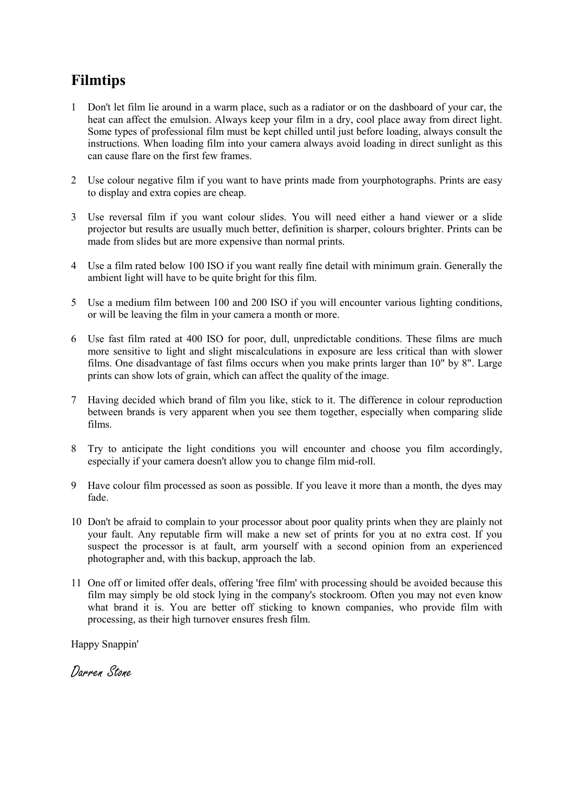# **Filmtips**

- 1 Don't let film lie around in a warm place, such as a radiator or on the dashboard of your car, the heat can affect the emulsion. Always keep your film in a dry, cool place away from direct light. Some types of professional film must be kept chilled until just before loading, always consult the instructions. When loading film into your camera always avoid loading in direct sunlight as this can cause flare on the first few frames.
- 2 Use colour negative film if you want to have prints made from yourphotographs. Prints are easy to display and extra copies are cheap.
- 3 Use reversal film if you want colour slides. You will need either a hand viewer or a slide projector but results are usually much better, definition is sharper, colours brighter. Prints can be made from slides but are more expensive than normal prints.
- 4 Use a film rated below 100 ISO if you want really fine detail with minimum grain. Generally the ambient light will have to be quite bright for this film.
- 5 Use a medium film between 100 and 200 ISO if you will encounter various lighting conditions, or will be leaving the film in your camera a month or more.
- 6 Use fast film rated at 400 ISO for poor, dull, unpredictable conditions. These films are much more sensitive to light and slight miscalculations in exposure are less critical than with slower films. One disadvantage of fast films occurs when you make prints larger than 10" by 8". Large prints can show lots of grain, which can affect the quality of the image.
- 7 Having decided which brand of film you like, stick to it. The difference in colour reproduction between brands is very apparent when you see them together, especially when comparing slide films.
- 8 Try to anticipate the light conditions you will encounter and choose you film accordingly, especially if your camera doesn't allow you to change film mid-roll.
- 9 Have colour film processed as soon as possible. If you leave it more than a month, the dyes may fade.
- 10 Don't be afraid to complain to your processor about poor quality prints when they are plainly not your fault. Any reputable firm will make a new set of prints for you at no extra cost. If you suspect the processor is at fault, arm yourself with a second opinion from an experienced photographer and, with this backup, approach the lab.
- 11 One off or limited offer deals, offering 'free film' with processing should be avoided because this film may simply be old stock lying in the company's stockroom. Often you may not even know what brand it is. You are better off sticking to known companies, who provide film with processing, as their high turnover ensures fresh film.

Happy Snappin'

Darren Stone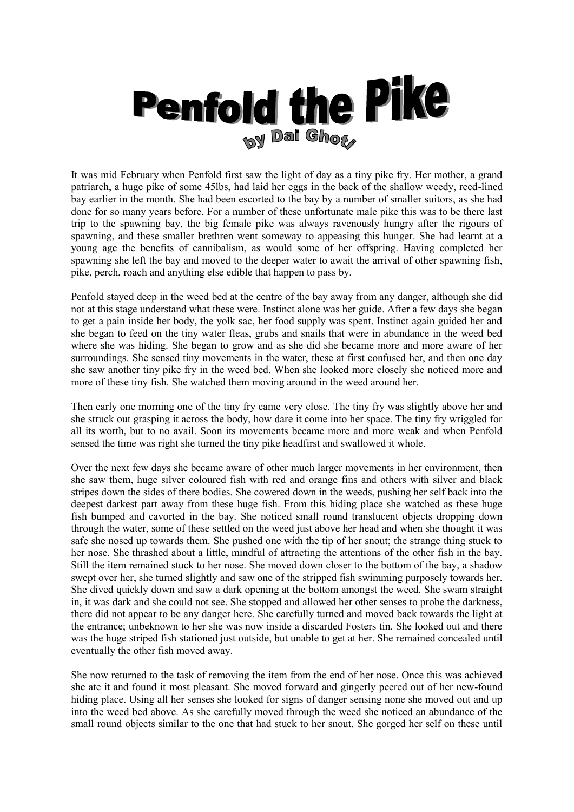

It was mid February when Penfold first saw the light of day as a tiny pike fry. Her mother, a grand patriarch, a huge pike of some 45lbs, had laid her eggs in the back of the shallow weedy, reed-lined bay earlier in the month. She had been escorted to the bay by a number of smaller suitors, as she had done for so many years before. For a number of these unfortunate male pike this was to be there last trip to the spawning bay, the big female pike was always ravenously hungry after the rigours of spawning, and these smaller brethren went someway to appeasing this hunger. She had learnt at a young age the benefits of cannibalism, as would some of her offspring. Having completed her spawning she left the bay and moved to the deeper water to await the arrival of other spawning fish, pike, perch, roach and anything else edible that happen to pass by.

Penfold stayed deep in the weed bed at the centre of the bay away from any danger, although she did not at this stage understand what these were. Instinct alone was her guide. After a few days she began to get a pain inside her body, the yolk sac, her food supply was spent. Instinct again guided her and she began to feed on the tiny water fleas, grubs and snails that were in abundance in the weed bed where she was hiding. She began to grow and as she did she became more and more aware of her surroundings. She sensed tiny movements in the water, these at first confused her, and then one day she saw another tiny pike fry in the weed bed. When she looked more closely she noticed more and more of these tiny fish. She watched them moving around in the weed around her.

Then early one morning one of the tiny fry came very close. The tiny fry was slightly above her and she struck out grasping it across the body, how dare it come into her space. The tiny fry wriggled for all its worth, but to no avail. Soon its movements became more and more weak and when Penfold sensed the time was right she turned the tiny pike headfirst and swallowed it whole.

Over the next few days she became aware of other much larger movements in her environment, then she saw them, huge silver coloured fish with red and orange fins and others with silver and black stripes down the sides of there bodies. She cowered down in the weeds, pushing her self back into the deepest darkest part away from these huge fish. From this hiding place she watched as these huge fish bumped and cavorted in the bay. She noticed small round translucent objects dropping down through the water, some of these settled on the weed just above her head and when she thought it was safe she nosed up towards them. She pushed one with the tip of her snout; the strange thing stuck to her nose. She thrashed about a little, mindful of attracting the attentions of the other fish in the bay. Still the item remained stuck to her nose. She moved down closer to the bottom of the bay, a shadow swept over her, she turned slightly and saw one of the stripped fish swimming purposely towards her. She dived quickly down and saw a dark opening at the bottom amongst the weed. She swam straight in, it was dark and she could not see. She stopped and allowed her other senses to probe the darkness, there did not appear to be any danger here. She carefully turned and moved back towards the light at the entrance; unbeknown to her she was now inside a discarded Fosters tin. She looked out and there was the huge striped fish stationed just outside, but unable to get at her. She remained concealed until eventually the other fish moved away.

She now returned to the task of removing the item from the end of her nose. Once this was achieved she ate it and found it most pleasant. She moved forward and gingerly peered out of her new-found hiding place. Using all her senses she looked for signs of danger sensing none she moved out and up into the weed bed above. As she carefully moved through the weed she noticed an abundance of the small round objects similar to the one that had stuck to her snout. She gorged her self on these until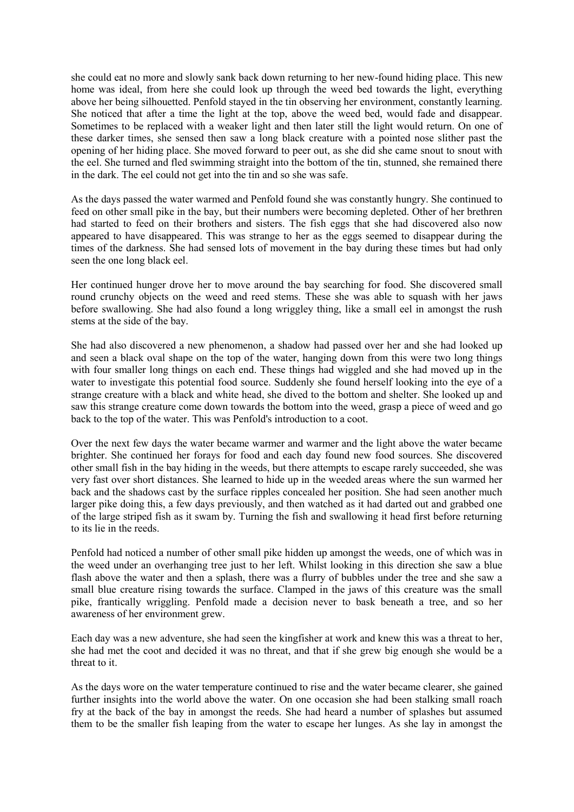she could eat no more and slowly sank back down returning to her new-found hiding place. This new home was ideal, from here she could look up through the weed bed towards the light, everything above her being silhouetted. Penfold stayed in the tin observing her environment, constantly learning. She noticed that after a time the light at the top, above the weed bed, would fade and disappear. Sometimes to be replaced with a weaker light and then later still the light would return. On one of these darker times, she sensed then saw a long black creature with a pointed nose slither past the opening of her hiding place. She moved forward to peer out, as she did she came snout to snout with the eel. She turned and fled swimming straight into the bottom of the tin, stunned, she remained there in the dark. The eel could not get into the tin and so she was safe.

As the days passed the water warmed and Penfold found she was constantly hungry. She continued to feed on other small pike in the bay, but their numbers were becoming depleted. Other of her brethren had started to feed on their brothers and sisters. The fish eggs that she had discovered also now appeared to have disappeared. This was strange to her as the eggs seemed to disappear during the times of the darkness. She had sensed lots of movement in the bay during these times but had only seen the one long black eel.

Her continued hunger drove her to move around the bay searching for food. She discovered small round crunchy objects on the weed and reed stems. These she was able to squash with her jaws before swallowing. She had also found a long wriggley thing, like a small eel in amongst the rush stems at the side of the bay.

She had also discovered a new phenomenon, a shadow had passed over her and she had looked up and seen a black oval shape on the top of the water, hanging down from this were two long things with four smaller long things on each end. These things had wiggled and she had moved up in the water to investigate this potential food source. Suddenly she found herself looking into the eye of a strange creature with a black and white head, she dived to the bottom and shelter. She looked up and saw this strange creature come down towards the bottom into the weed, grasp a piece of weed and go back to the top of the water. This was Penfold's introduction to a coot.

Over the next few days the water became warmer and warmer and the light above the water became brighter. She continued her forays for food and each day found new food sources. She discovered other small fish in the bay hiding in the weeds, but there attempts to escape rarely succeeded, she was very fast over short distances. She learned to hide up in the weeded areas where the sun warmed her back and the shadows cast by the surface ripples concealed her position. She had seen another much larger pike doing this, a few days previously, and then watched as it had darted out and grabbed one of the large striped fish as it swam by. Turning the fish and swallowing it head first before returning to its lie in the reeds.

Penfold had noticed a number of other small pike hidden up amongst the weeds, one of which was in the weed under an overhanging tree just to her left. Whilst looking in this direction she saw a blue flash above the water and then a splash, there was a flurry of bubbles under the tree and she saw a small blue creature rising towards the surface. Clamped in the jaws of this creature was the small pike, frantically wriggling. Penfold made a decision never to bask beneath a tree, and so her awareness of her environment grew.

Each day was a new adventure, she had seen the kingfisher at work and knew this was a threat to her, she had met the coot and decided it was no threat, and that if she grew big enough she would be a threat to it.

As the days wore on the water temperature continued to rise and the water became clearer, she gained further insights into the world above the water. On one occasion she had been stalking small roach fry at the back of the bay in amongst the reeds. She had heard a number of splashes but assumed them to be the smaller fish leaping from the water to escape her lunges. As she lay in amongst the